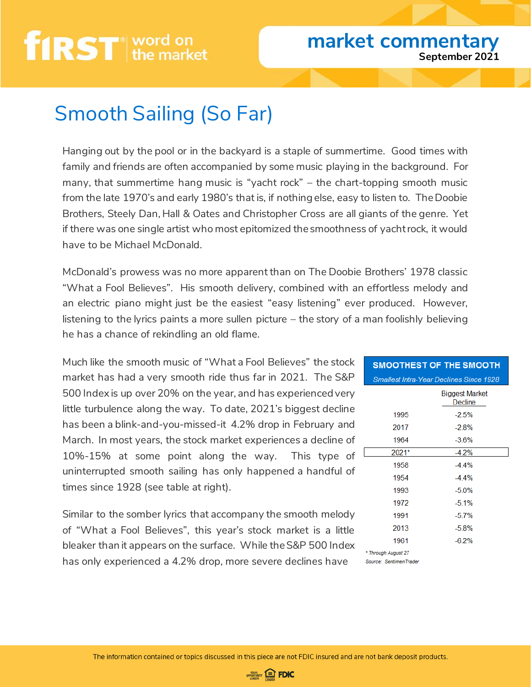# **first** word on

#### **market commentary September 2021**

### Smooth Sailing (So Far)

Hanging out by the pool or in the backyard is a staple of summertime. Good times with family and friends are often accompanied by some music playing in the background. For many, that summertime hang music is "yacht rock" – the chart-topping smooth music from the late 1970's and early 1980's that is, if nothing else, easy to listen to. The Doobie Brothers, Steely Dan, Hall & Oates and Christopher Cross are all giants of the genre. Yet if there was one single artist who most epitomized the smoothness of yacht rock, it would have to be Michael McDonald.

McDonald's prowess was no more apparent than on The Doobie Brothers' 1978 classic "What a Fool Believes". His smooth delivery, combined with an effortless melody and an electric piano might just be the easiest "easy listening" ever produced. However, listening to the lyrics paints a more sullen picture – the story of a man foolishly believing he has a chance of rekindling an old flame.

Much like the smooth music of "What a Fool Believes" the stock market has had a very smooth ride thus far in 2021. The S&P 500 Index is up over 20% on the year, and has experienced very little turbulence along the way. To date, 2021's biggest decline has been a blink-and-you-missed-it 4.2% drop in February and March. In most years, the stock market experiences a decline of 10%-15% at some point along the way. This type of uninterrupted smooth sailing has only happened a handful of times since 1928 (see table at right).

Similar to the somber lyrics that accompany the smooth melody of "What a Fool Believes", this year's stock market is a little bleaker than it appears on the surface. While the S&P 500 Index has only experienced a 4.2% drop, more severe declines have

| <b>SMOOTHEST OF THE SMOOTH</b>                 |                                  |  |
|------------------------------------------------|----------------------------------|--|
| <b>Smallest Intra-Year Declines Since 1928</b> |                                  |  |
|                                                | <b>Biggest Market</b><br>Decline |  |
| 1995                                           | $-2.5%$                          |  |
| 2017                                           | $-28%$                           |  |
| 1964                                           | $-3.6%$                          |  |
| 2021*                                          | $-4.2%$                          |  |
| 1958                                           | $-44\%$                          |  |
| 1954                                           | $-44\%$                          |  |
| 1993                                           | $-5.0%$                          |  |
| 1972                                           | $-5.1%$                          |  |
| 1991                                           | $-5.7%$                          |  |
| 2013                                           | $-5.8%$                          |  |
| 1961                                           | $-6.2%$                          |  |
| * Through August 27<br>Source: SentimenTrader  |                                  |  |

The information contained or topics discussed in this piece are not FDIC insured and are not bank deposit products.

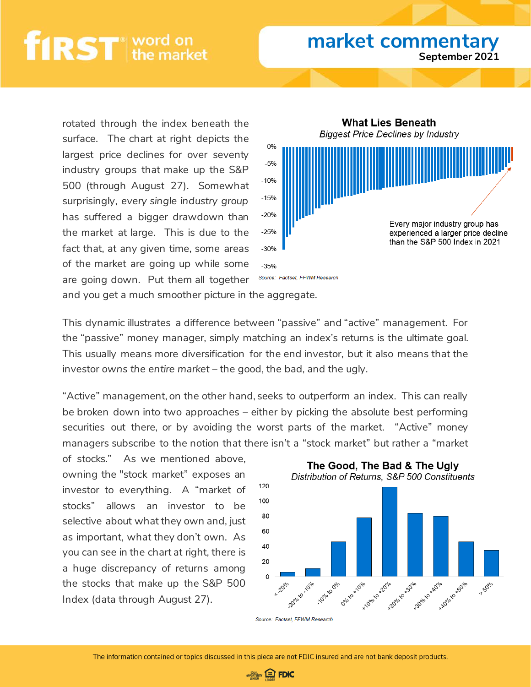## first word

#### **market commentary September 2021**

rotated through the index beneath the surface. The chart at right depicts the largest price declines for over seventy industry groups that make up the S&P 500 (through August 27). Somewhat surprisingly, *every single industry group* has suffered a bigger drawdown than the market at large. This is due to the fact that, at any given time, some areas of the market are going up while some are going down. Put them all together



and you get a much smoother picture in the aggregate.

This dynamic illustrates a difference between "passive" and "active" management. For the "passive" money manager, simply matching an index's returns is the ultimate goal. This usually means more diversification for the end investor, but it also means that the investor *owns the entire market* – the good, the bad, and the ugly.

"Active" management, on the other hand, seeks to outperform an index. This can really be broken down into two approaches – either by picking the absolute best performing securities out there, or by avoiding the worst parts of the market. "Active" money managers subscribe to the notion that there isn't a "stock market" but rather a "market

of stocks." As we mentioned above, owning the "stock market" exposes an investor to everything. A "market of stocks" allows an investor to be selective about what they own and, just as important, what they don't own. As you can see in the chart at right, there is a huge discrepancy of returns among the stocks that make up the S&P 500 Index (data through August 27).



Source: Factset. FFWM Research

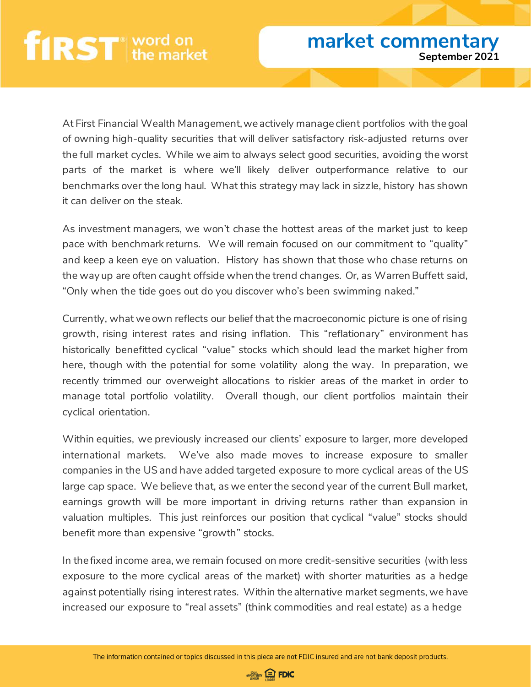At First Financial Wealth Management, we actively manage client portfolios with the goal of owning high-quality securities that will deliver satisfactory risk-adjusted returns over the full market cycles. While we aim to always select good securities, avoiding the worst parts of the market is where we'll likely deliver outperformance relative to our benchmarks over the long haul. What this strategy may lack in sizzle, history has shown it can deliver on the steak.

As investment managers, we won't chase the hottest areas of the market just to keep pace with benchmark returns. We will remain focused on our commitment to "quality" and keep a keen eye on valuation. History has shown that those who chase returns on the way up are often caught offside when the trend changes. Or, as Warren Buffett said, "Only when the tide goes out do you discover who's been swimming naked."

Currently, what we own reflects our belief that the macroeconomic picture is one of rising growth, rising interest rates and rising inflation. This "reflationary" environment has historically benefitted cyclical "value" stocks which should lead the market higher from here, though with the potential for some volatility along the way. In preparation, we recently trimmed our overweight allocations to riskier areas of the market in order to manage total portfolio volatility. Overall though, our client portfolios maintain their cyclical orientation.

Within equities, we previously increased our clients' exposure to larger, more developed international markets. We've also made moves to increase exposure to smaller companies in the US and have added targeted exposure to more cyclical areas of the US large cap space. We believe that, as we enter the second year of the current Bull market, earnings growth will be more important in driving returns rather than expansion in valuation multiples. This just reinforces our position that cyclical "value" stocks should benefit more than expensive "growth" stocks.

In the fixed income area, we remain focused on more credit-sensitive securities (with less exposure to the more cyclical areas of the market) with shorter maturities as a hedge against potentially rising interest rates. Within the alternative market segments, we have increased our exposure to "real assets" (think commodities and real estate) as a hedge